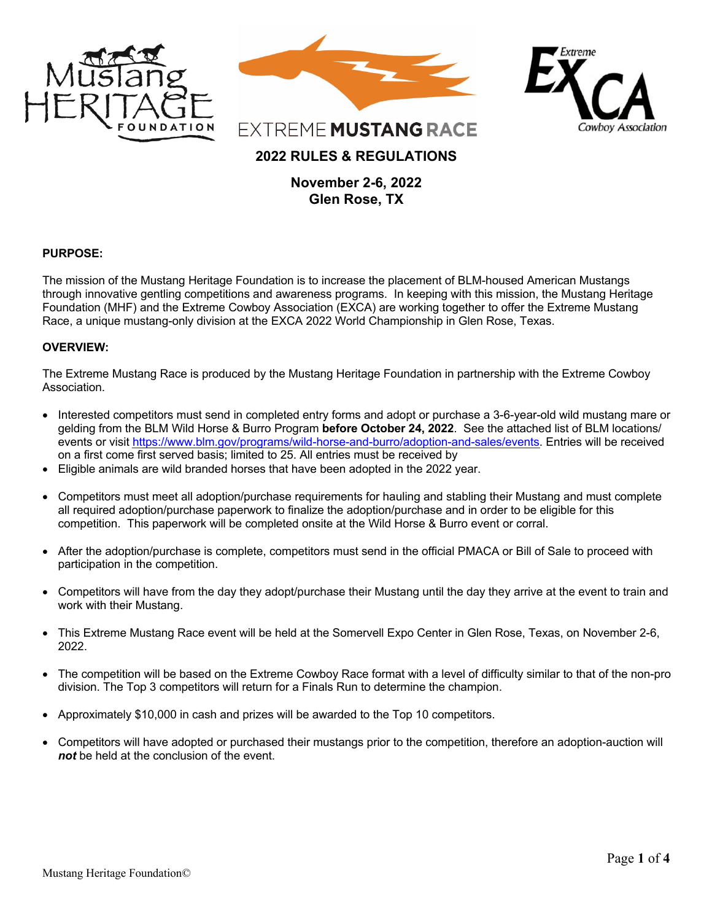

#### **PURPOSE:**

The mission of the Mustang Heritage Foundation is to increase the placement of BLM-housed American Mustangs through innovative gentling competitions and awareness programs. In keeping with this mission, the Mustang Heritage Foundation (MHF) and the Extreme Cowboy Association (EXCA) are working together to offer the Extreme Mustang Race, a unique mustang-only division at the EXCA 2022 World Championship in Glen Rose, Texas.

#### **OVERVIEW:**

The Extreme Mustang Race is produced by the Mustang Heritage Foundation in partnership with the Extreme Cowboy Association.

- Interested competitors must send in completed entry forms and adopt or purchase a 3-6-year-old wild mustang mare or gelding from the BLM Wild Horse & Burro Program **before October 24, 2022**. See the attached list of BLM locations/ events or visit https://www.blm.gov/programs/wild-horse-and-burro/adoption-and-sales/events. Entries will be received on a first come first served basis; limited to 25. All entries must be received by
- Eligible animals are wild branded horses that have been adopted in the 2022 year.
- Competitors must meet all adoption/purchase requirements for hauling and stabling their Mustang and must complete all required adoption/purchase paperwork to finalize the adoption/purchase and in order to be eligible for this competition. This paperwork will be completed onsite at the Wild Horse & Burro event or corral.
- After the adoption/purchase is complete, competitors must send in the official PMACA or Bill of Sale to proceed with participation in the competition.
- Competitors will have from the day they adopt/purchase their Mustang until the day they arrive at the event to train and work with their Mustang.
- This Extreme Mustang Race event will be held at the Somervell Expo Center in Glen Rose, Texas, on November 2-6, 2022.
- The competition will be based on the Extreme Cowboy Race format with a level of difficulty similar to that of the non-pro division. The Top 3 competitors will return for a Finals Run to determine the champion.
- Approximately \$10,000 in cash and prizes will be awarded to the Top 10 competitors.
- Competitors will have adopted or purchased their mustangs prior to the competition, therefore an adoption-auction will *not* be held at the conclusion of the event.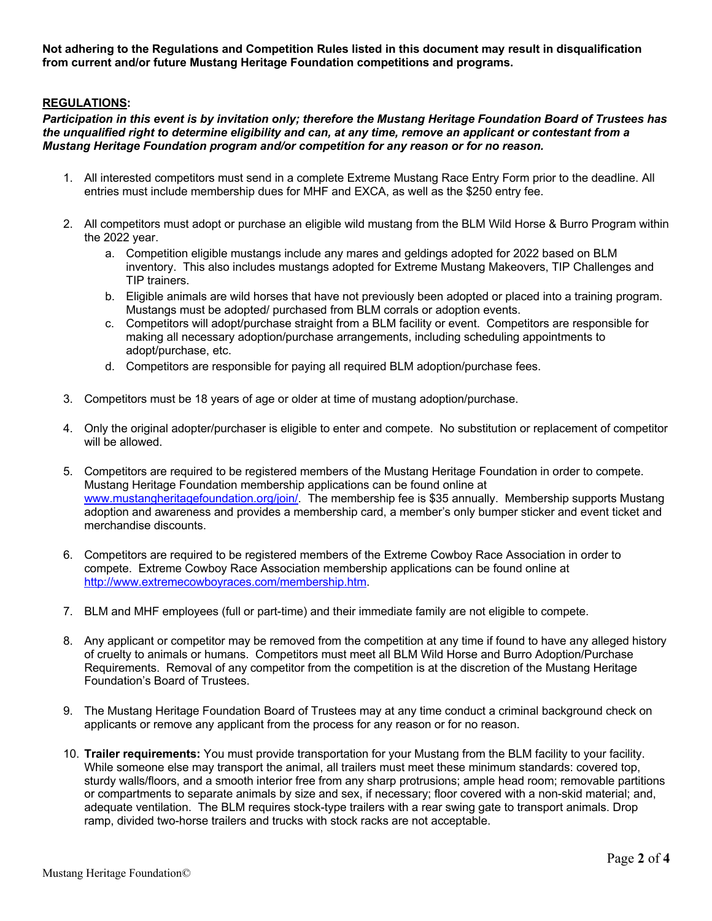**Not adhering to the Regulations and Competition Rules listed in this document may result in disqualification from current and/or future Mustang Heritage Foundation competitions and programs.**

# **REGULATIONS:**

*Participation in this event is by invitation only; therefore the Mustang Heritage Foundation Board of Trustees has the unqualified right to determine eligibility and can, at any time, remove an applicant or contestant from a Mustang Heritage Foundation program and/or competition for any reason or for no reason.*

- 1. All interested competitors must send in a complete Extreme Mustang Race Entry Form prior to the deadline. All entries must include membership dues for MHF and EXCA, as well as the \$250 entry fee.
- 2. All competitors must adopt or purchase an eligible wild mustang from the BLM Wild Horse & Burro Program within the 2022 year.
	- a. Competition eligible mustangs include any mares and geldings adopted for 2022 based on BLM inventory. This also includes mustangs adopted for Extreme Mustang Makeovers, TIP Challenges and TIP trainers.
	- b. Eligible animals are wild horses that have not previously been adopted or placed into a training program. Mustangs must be adopted/ purchased from BLM corrals or adoption events.
	- c. Competitors will adopt/purchase straight from a BLM facility or event. Competitors are responsible for making all necessary adoption/purchase arrangements, including scheduling appointments to adopt/purchase, etc.
	- d. Competitors are responsible for paying all required BLM adoption/purchase fees.
- 3. Competitors must be 18 years of age or older at time of mustang adoption/purchase.
- 4. Only the original adopter/purchaser is eligible to enter and compete. No substitution or replacement of competitor will be allowed.
- 5. Competitors are required to be registered members of the Mustang Heritage Foundation in order to compete. Mustang Heritage Foundation membership applications can be found online at www.mustangheritagefoundation.org/join/. The membership fee is \$35 annually. Membership supports Mustang adoption and awareness and provides a membership card, a member's only bumper sticker and event ticket and merchandise discounts.
- 6. Competitors are required to be registered members of the Extreme Cowboy Race Association in order to compete. Extreme Cowboy Race Association membership applications can be found online at http://www.extremecowboyraces.com/membership.htm.
- 7. BLM and MHF employees (full or part-time) and their immediate family are not eligible to compete.
- 8. Any applicant or competitor may be removed from the competition at any time if found to have any alleged history of cruelty to animals or humans. Competitors must meet all BLM Wild Horse and Burro Adoption/Purchase Requirements. Removal of any competitor from the competition is at the discretion of the Mustang Heritage Foundation's Board of Trustees.
- 9. The Mustang Heritage Foundation Board of Trustees may at any time conduct a criminal background check on applicants or remove any applicant from the process for any reason or for no reason.
- 10. **Trailer requirements:** You must provide transportation for your Mustang from the BLM facility to your facility. While someone else may transport the animal, all trailers must meet these minimum standards: covered top, sturdy walls/floors, and a smooth interior free from any sharp protrusions; ample head room; removable partitions or compartments to separate animals by size and sex, if necessary; floor covered with a non-skid material; and, adequate ventilation.The BLM requires stock-type trailers with a rear swing gate to transport animals. Drop ramp, divided two-horse trailers and trucks with stock racks are not acceptable.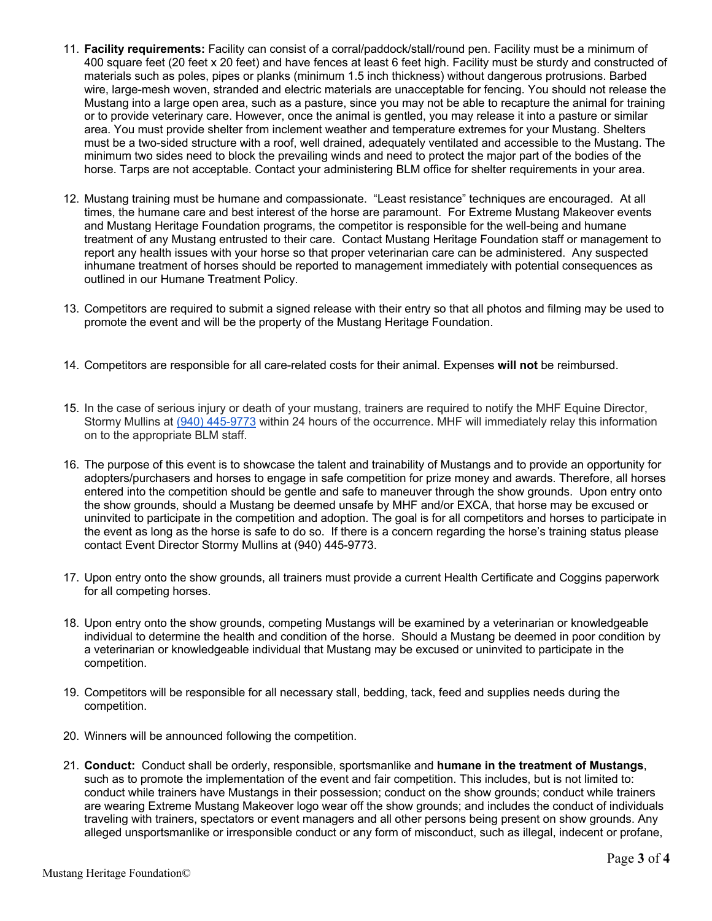- 11. **Facility requirements:** Facility can consist of a corral/paddock/stall/round pen. Facility must be a minimum of 400 square feet (20 feet x 20 feet) and have fences at least 6 feet high. Facility must be sturdy and constructed of materials such as poles, pipes or planks (minimum 1.5 inch thickness) without dangerous protrusions. Barbed wire, large-mesh woven, stranded and electric materials are unacceptable for fencing. You should not release the Mustang into a large open area, such as a pasture, since you may not be able to recapture the animal for training or to provide veterinary care. However, once the animal is gentled, you may release it into a pasture or similar area. You must provide shelter from inclement weather and temperature extremes for your Mustang. Shelters must be a two-sided structure with a roof, well drained, adequately ventilated and accessible to the Mustang. The minimum two sides need to block the prevailing winds and need to protect the major part of the bodies of the horse. Tarps are not acceptable. Contact your administering BLM office for shelter requirements in your area.
- 12. Mustang training must be humane and compassionate. "Least resistance" techniques are encouraged. At all times, the humane care and best interest of the horse are paramount. For Extreme Mustang Makeover events and Mustang Heritage Foundation programs, the competitor is responsible for the well-being and humane treatment of any Mustang entrusted to their care. Contact Mustang Heritage Foundation staff or management to report any health issues with your horse so that proper veterinarian care can be administered. Any suspected inhumane treatment of horses should be reported to management immediately with potential consequences as outlined in our Humane Treatment Policy.
- 13. Competitors are required to submit a signed release with their entry so that all photos and filming may be used to promote the event and will be the property of the Mustang Heritage Foundation.
- 14. Competitors are responsible for all care-related costs for their animal. Expenses **will not** be reimbursed.
- 15. In the case of serious injury or death of your mustang, trainers are required to notify the MHF Equine Director, Stormy Mullins at (940) 445-9773 within 24 hours of the occurrence. MHF will immediately relay this information on to the appropriate BLM staff.
- 16. The purpose of this event is to showcase the talent and trainability of Mustangs and to provide an opportunity for adopters/purchasers and horses to engage in safe competition for prize money and awards. Therefore, all horses entered into the competition should be gentle and safe to maneuver through the show grounds. Upon entry onto the show grounds, should a Mustang be deemed unsafe by MHF and/or EXCA, that horse may be excused or uninvited to participate in the competition and adoption. The goal is for all competitors and horses to participate in the event as long as the horse is safe to do so. If there is a concern regarding the horse's training status please contact Event Director Stormy Mullins at (940) 445-9773.
- 17. Upon entry onto the show grounds, all trainers must provide a current Health Certificate and Coggins paperwork for all competing horses.
- 18. Upon entry onto the show grounds, competing Mustangs will be examined by a veterinarian or knowledgeable individual to determine the health and condition of the horse. Should a Mustang be deemed in poor condition by a veterinarian or knowledgeable individual that Mustang may be excused or uninvited to participate in the competition.
- 19. Competitors will be responsible for all necessary stall, bedding, tack, feed and supplies needs during the competition.
- 20. Winners will be announced following the competition.
- 21. **Conduct:** Conduct shall be orderly, responsible, sportsmanlike and **humane in the treatment of Mustangs**, such as to promote the implementation of the event and fair competition. This includes, but is not limited to: conduct while trainers have Mustangs in their possession; conduct on the show grounds; conduct while trainers are wearing Extreme Mustang Makeover logo wear off the show grounds; and includes the conduct of individuals traveling with trainers, spectators or event managers and all other persons being present on show grounds. Any alleged unsportsmanlike or irresponsible conduct or any form of misconduct, such as illegal, indecent or profane,